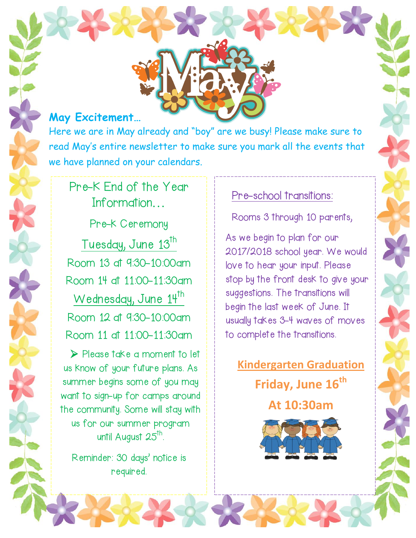## **May Excitement…**

Here we are in May already and "boy" are we busy! Please make sure to read May's entire newsletter to make sure you mark all the events that we have planned on your calendars.

## Pre-K End of the Year Information…

Pre-k Ceremony Tuesday, June 13<sup>th</sup> Room 13 at 9:30-10:00am Room 14 at 11:00-11:30am Wednesday, June 14<sup>th</sup> Room 12 at 9:30-10:00am Room 11 at 11:00-11:30am

Please take a moment to let us know of your future plans. As summer begins some of you may want to sign-up for camps around the community. Some will stay with us for our summer program until August 25<sup>th</sup>.

Reminder: 30 days' notice is required.

## Pre-school transitions:

Rooms 3 through 10 parents,

As we begin to plan for our 2017/2018 school year. We would love to hear your input. Please stop by the front desk to give your suggestions. The transitions will begin the last week of June. It usually takes 3-4 waves of moves to complete the transitions.

**Kindergarten Graduation Friday, June 16th At 10:30am**